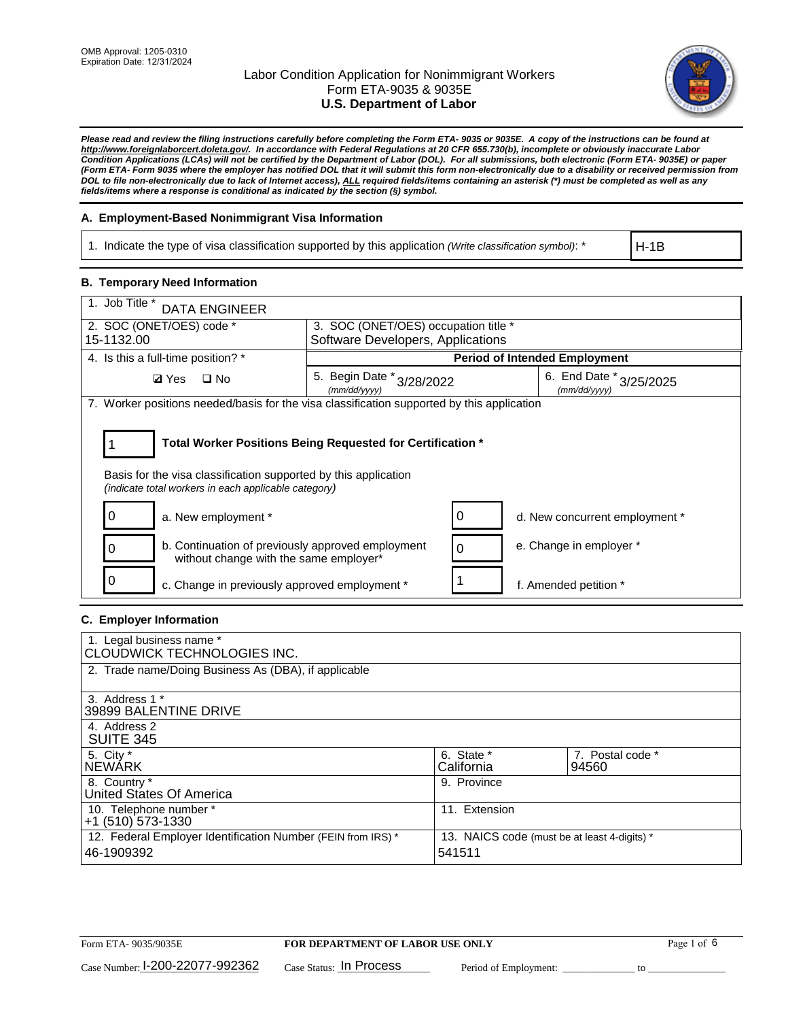

*Please read and review the filing instructions carefully before completing the Form ETA- 9035 or 9035E. A copy of the instructions can be found at [http://www.foreignlaborcert.doleta.gov/.](http://www.foreignlaborcert.doleta.gov/) In accordance with Federal Regulations at 20 CFR 655.730(b), incomplete or obviously inaccurate Labor Condition Applications (LCAs) will not be certified by the Department of Labor (DOL). For all submissions, both electronic (Form ETA- 9035E) or paper (Form ETA- Form 9035 where the employer has notified DOL that it will submit this form non-electronically due to a disability or received permission from DOL to file non-electronically due to lack of Internet access), ALL required fields/items containing an asterisk (\*) must be completed as well as any fields/items where a response is conditional as indicated by the section (§) symbol.* 

## **A. Employment-Based Nonimmigrant Visa Information**

1. Indicate the type of visa classification supported by this application *(Write classification symbol)*: \*

H-1B

## **B. Temporary Need Information**

| 1. Job Title *<br><b>DATA ENGINEER</b>                                                                                                                                                |                                                                           |                                             |  |  |
|---------------------------------------------------------------------------------------------------------------------------------------------------------------------------------------|---------------------------------------------------------------------------|---------------------------------------------|--|--|
| 2. SOC (ONET/OES) code *<br>15-1132.00                                                                                                                                                | 3. SOC (ONET/OES) occupation title *<br>Software Developers, Applications |                                             |  |  |
|                                                                                                                                                                                       |                                                                           |                                             |  |  |
| 4. Is this a full-time position? *                                                                                                                                                    | <b>Period of Intended Employment</b>                                      |                                             |  |  |
| <b>Ø</b> Yes<br>$\Box$ No                                                                                                                                                             | 5. Begin Date $*_{3/28/2022}$<br>(mm/dd/yyyy)                             | 6. End Date $*_{3/25/2025}$<br>(mm/dd/yyyy) |  |  |
| 7. Worker positions needed/basis for the visa classification supported by this application                                                                                            |                                                                           |                                             |  |  |
| Total Worker Positions Being Requested for Certification *<br>Basis for the visa classification supported by this application<br>(indicate total workers in each applicable category) |                                                                           |                                             |  |  |
| 0<br>a. New employment *                                                                                                                                                              | 0                                                                         | d. New concurrent employment *              |  |  |
| b. Continuation of previously approved employment<br>0<br>without change with the same employer*                                                                                      | 0                                                                         | e. Change in employer *                     |  |  |
| c. Change in previously approved employment *                                                                                                                                         |                                                                           | f. Amended petition *                       |  |  |

## **C. Employer Information**

| 1. Legal business name *<br>CLOUDWICK TECHNOLOGIES INC.                    |                                                        |                           |
|----------------------------------------------------------------------------|--------------------------------------------------------|---------------------------|
| 2. Trade name/Doing Business As (DBA), if applicable                       |                                                        |                           |
| 3. Address 1 *<br>39899 BALENTINE DRIVE                                    |                                                        |                           |
| 4. Address 2<br><b>SUITE 345</b>                                           |                                                        |                           |
| 5. City *<br><b>NEWARK</b>                                                 | 6. State *<br>California                               | 7. Postal code *<br>94560 |
| 8. Country *<br>United States Of America                                   | 9. Province                                            |                           |
| 10. Telephone number *<br>$+1$ (510) 573-1330                              | 11. Extension                                          |                           |
| 12. Federal Employer Identification Number (FEIN from IRS) *<br>46-1909392 | 13. NAICS code (must be at least 4-digits) *<br>541511 |                           |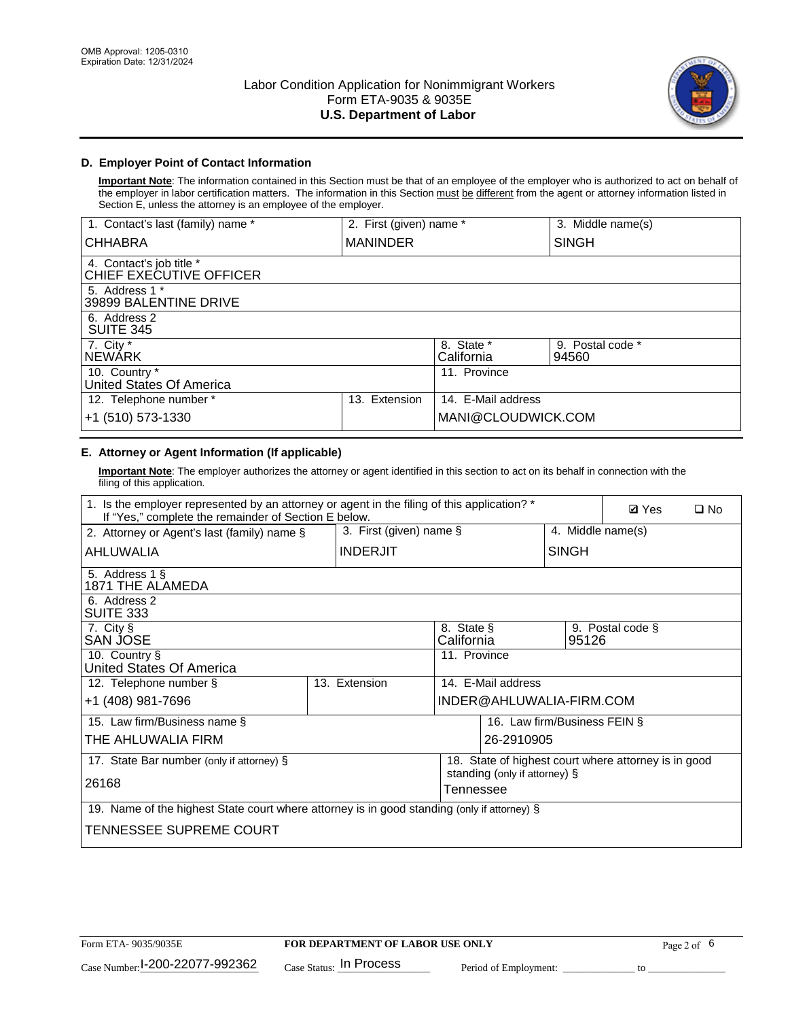

## **D. Employer Point of Contact Information**

**Important Note**: The information contained in this Section must be that of an employee of the employer who is authorized to act on behalf of the employer in labor certification matters. The information in this Section must be different from the agent or attorney information listed in Section E, unless the attorney is an employee of the employer.

| 1. Contact's last (family) name *                   | 2. First (given) name * |                          | 3. Middle name(s)         |
|-----------------------------------------------------|-------------------------|--------------------------|---------------------------|
| <b>CHHABRA</b>                                      | <b>MANINDER</b>         |                          | <b>SINGH</b>              |
| 4. Contact's job title *<br>CHIEF EXECUTIVE OFFICER |                         |                          |                           |
| 5. Address 1 *<br>39899 BALENTINE DRIVE             |                         |                          |                           |
| 6. Address 2<br>SUITE 345                           |                         |                          |                           |
| 7. City $*$<br><b>NEWARK</b>                        |                         | 8. State *<br>California | 9. Postal code *<br>94560 |
| 10. Country *<br>United States Of America           |                         | 11. Province             |                           |
| 12. Telephone number *                              | Extension<br>13.        | 14. E-Mail address       |                           |
| +1 (510) 573-1330                                   |                         | MANI@CLOUDWICK.COM       |                           |

# **E. Attorney or Agent Information (If applicable)**

**Important Note**: The employer authorizes the attorney or agent identified in this section to act on its behalf in connection with the filing of this application.

| 1. Is the employer represented by an attorney or agent in the filing of this application? *<br>If "Yes," complete the remainder of Section E below. | <b>Ø</b> Yes<br>$\Box$ No |                          |                               |                                                      |  |
|-----------------------------------------------------------------------------------------------------------------------------------------------------|---------------------------|--------------------------|-------------------------------|------------------------------------------------------|--|
| 2. Attorney or Agent's last (family) name §                                                                                                         | 3. First (given) name §   |                          |                               | 4. Middle name(s)                                    |  |
| AHLUWALIA                                                                                                                                           | <b>INDERJIT</b>           |                          | <b>SINGH</b>                  |                                                      |  |
| 5. Address 1 §<br>1871 THE ALAMEDA                                                                                                                  |                           |                          |                               |                                                      |  |
| 6. Address 2<br><b>SUITE 333</b>                                                                                                                    |                           |                          |                               |                                                      |  |
| 7. City §<br>SAN JOSE                                                                                                                               |                           | 8. State §<br>California | 95126                         | 9. Postal code §                                     |  |
| 10. Country §<br>United States Of America                                                                                                           |                           | 11. Province             |                               |                                                      |  |
| 12. Telephone number §                                                                                                                              | 13. Extension             | 14. E-Mail address       |                               |                                                      |  |
| +1 (408) 981-7696                                                                                                                                   |                           | INDER@AHLUWALIA-FIRM.COM |                               |                                                      |  |
| 15. Law firm/Business name §                                                                                                                        |                           |                          | 16. Law firm/Business FEIN §  |                                                      |  |
| THE AHLUWALIA FIRM                                                                                                                                  |                           |                          | 26-2910905                    |                                                      |  |
| 17. State Bar number (only if attorney) §                                                                                                           |                           |                          |                               | 18. State of highest court where attorney is in good |  |
| 26168                                                                                                                                               |                           | Tennessee                | standing (only if attorney) § |                                                      |  |
| 19. Name of the highest State court where attorney is in good standing (only if attorney) §                                                         |                           |                          |                               |                                                      |  |
|                                                                                                                                                     |                           |                          |                               |                                                      |  |
| TENNESSEE SUPREME COURT                                                                                                                             |                           |                          |                               |                                                      |  |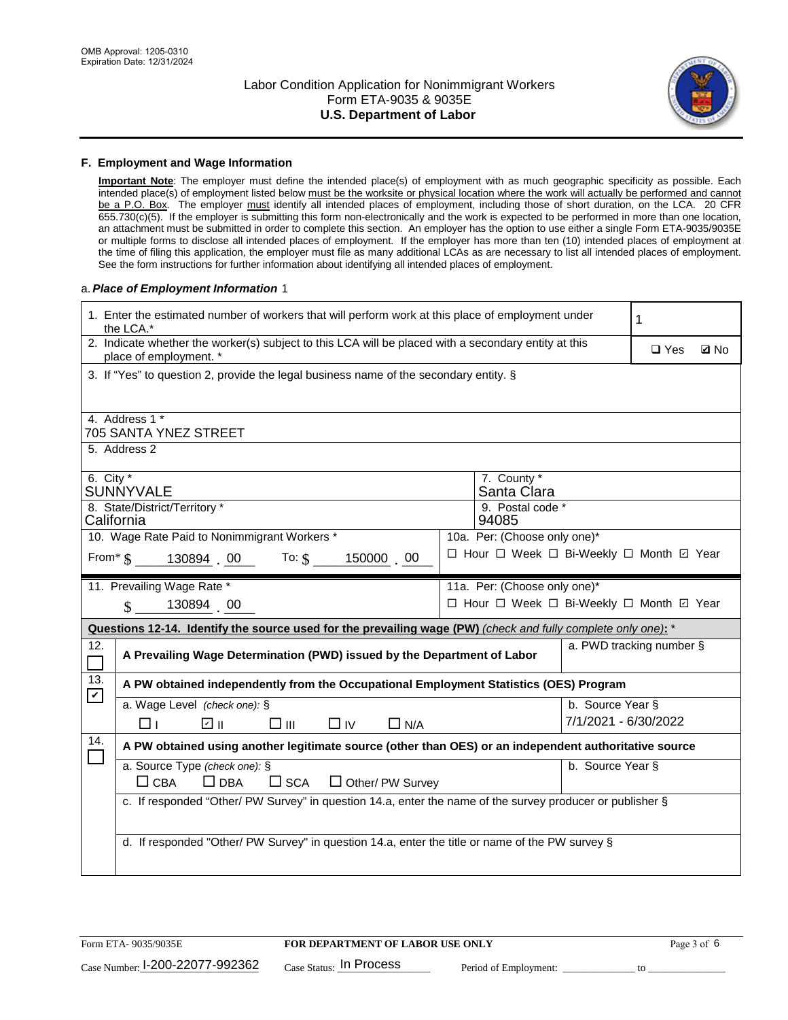

#### **F. Employment and Wage Information**

**Important Note**: The employer must define the intended place(s) of employment with as much geographic specificity as possible. Each intended place(s) of employment listed below must be the worksite or physical location where the work will actually be performed and cannot be a P.O. Box. The employer must identify all intended places of employment, including those of short duration, on the LCA. 20 CFR 655.730(c)(5). If the employer is submitting this form non-electronically and the work is expected to be performed in more than one location, an attachment must be submitted in order to complete this section. An employer has the option to use either a single Form ETA-9035/9035E or multiple forms to disclose all intended places of employment. If the employer has more than ten (10) intended places of employment at the time of filing this application, the employer must file as many additional LCAs as are necessary to list all intended places of employment. See the form instructions for further information about identifying all intended places of employment.

#### a.*Place of Employment Information* 1

| 1. Enter the estimated number of workers that will perform work at this place of employment under<br>the LCA.*                 | 1                                                                                     |  |  |  |  |  |
|--------------------------------------------------------------------------------------------------------------------------------|---------------------------------------------------------------------------------------|--|--|--|--|--|
| 2. Indicate whether the worker(s) subject to this LCA will be placed with a secondary entity at this<br>place of employment. * | $\square$ Yes<br><b>Z</b> No                                                          |  |  |  |  |  |
|                                                                                                                                | 3. If "Yes" to question 2, provide the legal business name of the secondary entity. § |  |  |  |  |  |
| 4. Address 1 *                                                                                                                 |                                                                                       |  |  |  |  |  |
| 705 SANTA YNEZ STREET                                                                                                          |                                                                                       |  |  |  |  |  |
| 5. Address 2                                                                                                                   |                                                                                       |  |  |  |  |  |
| 6. City $*$<br>SUNNYVALE                                                                                                       | 7. County *<br>Santa Clara                                                            |  |  |  |  |  |
| 8. State/District/Territory *                                                                                                  | 9. Postal code *                                                                      |  |  |  |  |  |
| California                                                                                                                     | 94085                                                                                 |  |  |  |  |  |
| 10. Wage Rate Paid to Nonimmigrant Workers *                                                                                   | 10a. Per: (Choose only one)*<br>□ Hour □ Week □ Bi-Weekly □ Month □ Year              |  |  |  |  |  |
| From* \$   130894  00    To: \$<br>150000 00                                                                                   |                                                                                       |  |  |  |  |  |
| 11. Prevailing Wage Rate *                                                                                                     | 11a. Per: (Choose only one)*                                                          |  |  |  |  |  |
| 130894 00<br>□ Hour □ Week □ Bi-Weekly □ Month 回 Year<br>$\mathbb{S}$                                                          |                                                                                       |  |  |  |  |  |
|                                                                                                                                |                                                                                       |  |  |  |  |  |
| Questions 12-14. Identify the source used for the prevailing wage (PW) (check and fully complete only one): *                  |                                                                                       |  |  |  |  |  |
| 12.<br>A Prevailing Wage Determination (PWD) issued by the Department of Labor<br>$\Box$                                       | a. PWD tracking number §                                                              |  |  |  |  |  |
| 13.<br>A PW obtained independently from the Occupational Employment Statistics (OES) Program                                   |                                                                                       |  |  |  |  |  |
| $\mathbf v$<br>a. Wage Level (check one): §                                                                                    | b. Source Year §                                                                      |  |  |  |  |  |
| பெ<br>$\square$ $\square$<br>□⊥<br>$\Box$ IV<br>$\Box$ N/A                                                                     | 7/1/2021 - 6/30/2022                                                                  |  |  |  |  |  |
| 14.<br>A PW obtained using another legitimate source (other than OES) or an independent authoritative source                   |                                                                                       |  |  |  |  |  |
| a. Source Type (check one): §                                                                                                  | b. Source Year §                                                                      |  |  |  |  |  |
| $\Box$ CBA<br>$\Box$ DBA<br>$\square$ SCA<br>$\Box$ Other/ PW Survey                                                           |                                                                                       |  |  |  |  |  |
| c. If responded "Other/ PW Survey" in question 14.a, enter the name of the survey producer or publisher §                      |                                                                                       |  |  |  |  |  |
|                                                                                                                                |                                                                                       |  |  |  |  |  |
| d. If responded "Other/ PW Survey" in question 14.a, enter the title or name of the PW survey §                                |                                                                                       |  |  |  |  |  |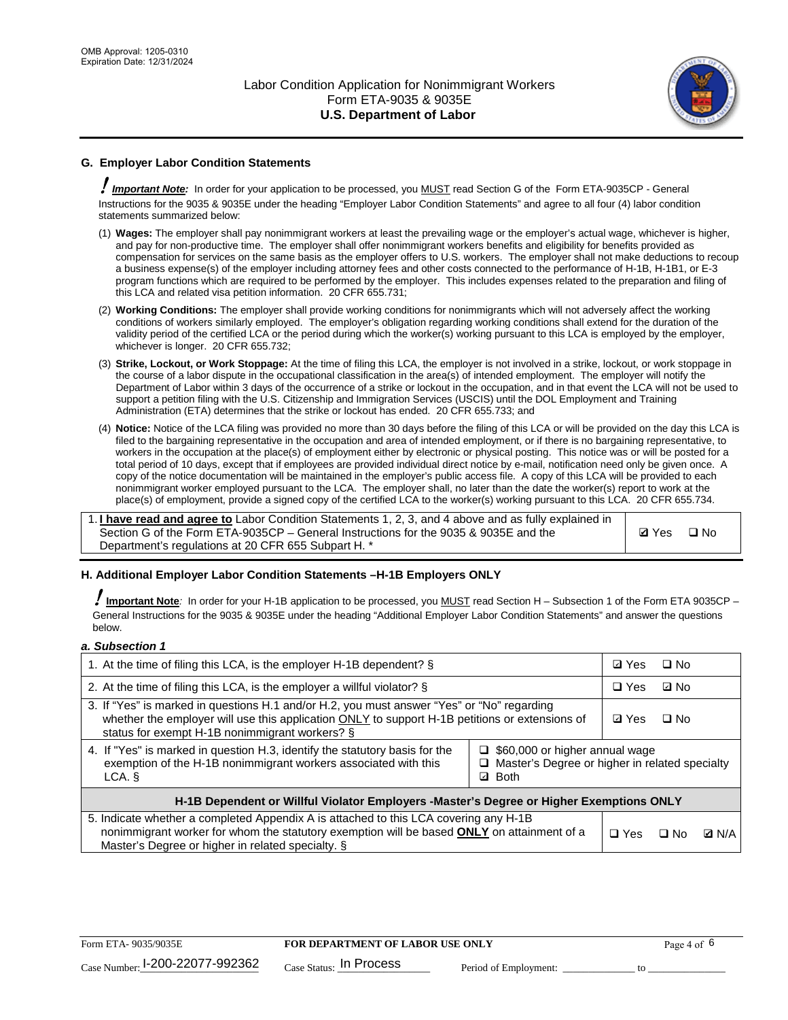

# **G. Employer Labor Condition Statements**

! *Important Note:* In order for your application to be processed, you MUST read Section G of the Form ETA-9035CP - General Instructions for the 9035 & 9035E under the heading "Employer Labor Condition Statements" and agree to all four (4) labor condition statements summarized below:

- (1) **Wages:** The employer shall pay nonimmigrant workers at least the prevailing wage or the employer's actual wage, whichever is higher, and pay for non-productive time. The employer shall offer nonimmigrant workers benefits and eligibility for benefits provided as compensation for services on the same basis as the employer offers to U.S. workers. The employer shall not make deductions to recoup a business expense(s) of the employer including attorney fees and other costs connected to the performance of H-1B, H-1B1, or E-3 program functions which are required to be performed by the employer. This includes expenses related to the preparation and filing of this LCA and related visa petition information. 20 CFR 655.731;
- (2) **Working Conditions:** The employer shall provide working conditions for nonimmigrants which will not adversely affect the working conditions of workers similarly employed. The employer's obligation regarding working conditions shall extend for the duration of the validity period of the certified LCA or the period during which the worker(s) working pursuant to this LCA is employed by the employer, whichever is longer. 20 CFR 655.732;
- (3) **Strike, Lockout, or Work Stoppage:** At the time of filing this LCA, the employer is not involved in a strike, lockout, or work stoppage in the course of a labor dispute in the occupational classification in the area(s) of intended employment. The employer will notify the Department of Labor within 3 days of the occurrence of a strike or lockout in the occupation, and in that event the LCA will not be used to support a petition filing with the U.S. Citizenship and Immigration Services (USCIS) until the DOL Employment and Training Administration (ETA) determines that the strike or lockout has ended. 20 CFR 655.733; and
- (4) **Notice:** Notice of the LCA filing was provided no more than 30 days before the filing of this LCA or will be provided on the day this LCA is filed to the bargaining representative in the occupation and area of intended employment, or if there is no bargaining representative, to workers in the occupation at the place(s) of employment either by electronic or physical posting. This notice was or will be posted for a total period of 10 days, except that if employees are provided individual direct notice by e-mail, notification need only be given once. A copy of the notice documentation will be maintained in the employer's public access file. A copy of this LCA will be provided to each nonimmigrant worker employed pursuant to the LCA. The employer shall, no later than the date the worker(s) report to work at the place(s) of employment, provide a signed copy of the certified LCA to the worker(s) working pursuant to this LCA. 20 CFR 655.734.

1. **I have read and agree to** Labor Condition Statements 1, 2, 3, and 4 above and as fully explained in Section G of the Form ETA-9035CP – General Instructions for the 9035 & 9035E and the Department's regulations at 20 CFR 655 Subpart H. \*

**Ø**Yes ロNo

## **H. Additional Employer Labor Condition Statements –H-1B Employers ONLY**

!**Important Note***:* In order for your H-1B application to be processed, you MUST read Section H – Subsection 1 of the Form ETA 9035CP – General Instructions for the 9035 & 9035E under the heading "Additional Employer Labor Condition Statements" and answer the questions below.

#### *a. Subsection 1*

| 1. At the time of filing this LCA, is the employer H-1B dependent? §                                                                                                                                                                                                  |  |  | $\Box$ No |              |
|-----------------------------------------------------------------------------------------------------------------------------------------------------------------------------------------------------------------------------------------------------------------------|--|--|-----------|--------------|
| 2. At the time of filing this LCA, is the employer a willful violator? $\S$                                                                                                                                                                                           |  |  | ⊡ No      |              |
| 3. If "Yes" is marked in questions H.1 and/or H.2, you must answer "Yes" or "No" regarding<br>whether the employer will use this application ONLY to support H-1B petitions or extensions of<br>status for exempt H-1B nonimmigrant workers? §                        |  |  | $\Box$ No |              |
| 4. If "Yes" is marked in question H.3, identify the statutory basis for the<br>$\Box$ \$60,000 or higher annual wage<br>exemption of the H-1B nonimmigrant workers associated with this<br>Master's Degree or higher in related specialty<br><b>Both</b><br>LCA.<br>☑ |  |  |           |              |
| H-1B Dependent or Willful Violator Employers -Master's Degree or Higher Exemptions ONLY                                                                                                                                                                               |  |  |           |              |
| 5. Indicate whether a completed Appendix A is attached to this LCA covering any H-1B<br>nonimmigrant worker for whom the statutory exemption will be based <b>ONLY</b> on attainment of a<br>Master's Degree or higher in related specialty. §                        |  |  | ⊡ No      | <b>D</b> N/A |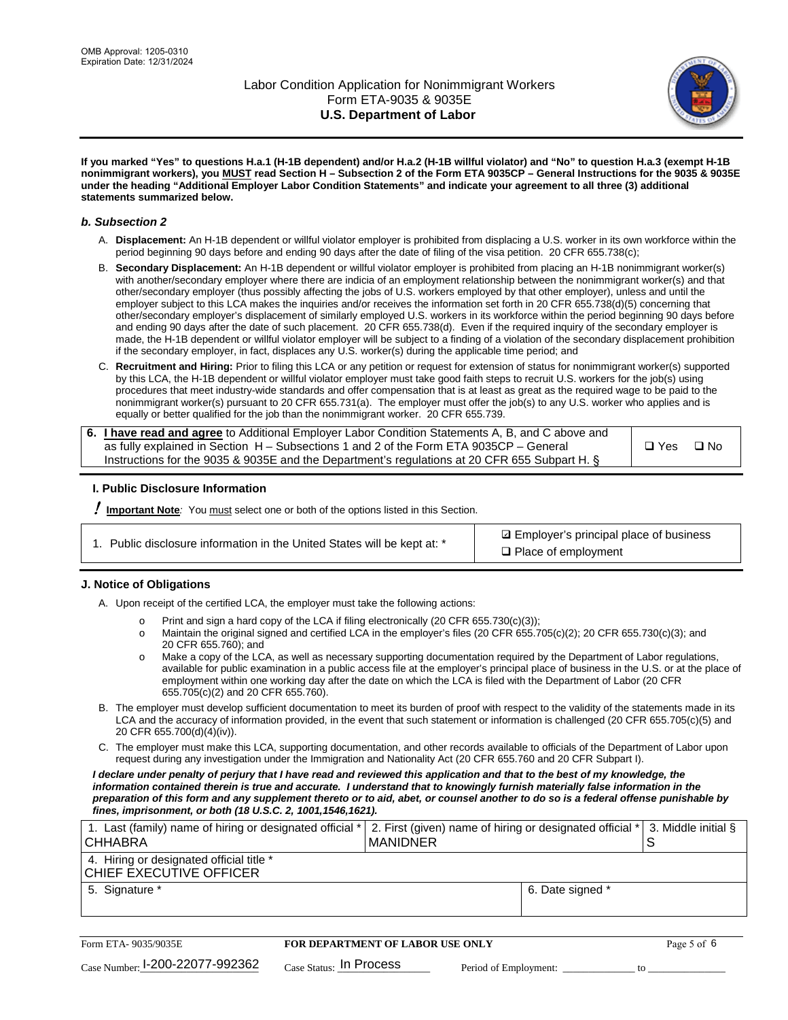

**If you marked "Yes" to questions H.a.1 (H-1B dependent) and/or H.a.2 (H-1B willful violator) and "No" to question H.a.3 (exempt H-1B nonimmigrant workers), you MUST read Section H – Subsection 2 of the Form ETA 9035CP – General Instructions for the 9035 & 9035E under the heading "Additional Employer Labor Condition Statements" and indicate your agreement to all three (3) additional statements summarized below.**

#### *b. Subsection 2*

- A. **Displacement:** An H-1B dependent or willful violator employer is prohibited from displacing a U.S. worker in its own workforce within the period beginning 90 days before and ending 90 days after the date of filing of the visa petition. 20 CFR 655.738(c);
- B. **Secondary Displacement:** An H-1B dependent or willful violator employer is prohibited from placing an H-1B nonimmigrant worker(s) with another/secondary employer where there are indicia of an employment relationship between the nonimmigrant worker(s) and that other/secondary employer (thus possibly affecting the jobs of U.S. workers employed by that other employer), unless and until the employer subject to this LCA makes the inquiries and/or receives the information set forth in 20 CFR 655.738(d)(5) concerning that other/secondary employer's displacement of similarly employed U.S. workers in its workforce within the period beginning 90 days before and ending 90 days after the date of such placement. 20 CFR 655.738(d). Even if the required inquiry of the secondary employer is made, the H-1B dependent or willful violator employer will be subject to a finding of a violation of the secondary displacement prohibition if the secondary employer, in fact, displaces any U.S. worker(s) during the applicable time period; and
- C. **Recruitment and Hiring:** Prior to filing this LCA or any petition or request for extension of status for nonimmigrant worker(s) supported by this LCA, the H-1B dependent or willful violator employer must take good faith steps to recruit U.S. workers for the job(s) using procedures that meet industry-wide standards and offer compensation that is at least as great as the required wage to be paid to the nonimmigrant worker(s) pursuant to 20 CFR 655.731(a). The employer must offer the job(s) to any U.S. worker who applies and is equally or better qualified for the job than the nonimmigrant worker. 20 CFR 655.739.

| 6. I have read and agree to Additional Employer Labor Condition Statements A, B, and C above and |       |           |
|--------------------------------------------------------------------------------------------------|-------|-----------|
| as fully explained in Section H – Subsections 1 and 2 of the Form ETA 9035CP – General           | □ Yes | $\Box$ No |
| Instructions for the 9035 & 9035E and the Department's regulations at 20 CFR 655 Subpart H. §    |       |           |

## **I. Public Disclosure Information**

! **Important Note***:* You must select one or both of the options listed in this Section.

| 1. Public disclosure information in the United States will be kept at: * |  |  |  |  |  |  |
|--------------------------------------------------------------------------|--|--|--|--|--|--|
|--------------------------------------------------------------------------|--|--|--|--|--|--|

**sqrt** Employer's principal place of business □ Place of employment

## **J. Notice of Obligations**

A. Upon receipt of the certified LCA, the employer must take the following actions:

- o Print and sign a hard copy of the LCA if filing electronically (20 CFR 655.730(c)(3));<br>
Maintain the original signed and certified LCA in the employer's files (20 CFR 655.7
- Maintain the original signed and certified LCA in the employer's files (20 CFR 655.705(c)(2); 20 CFR 655.730(c)(3); and 20 CFR 655.760); and
- o Make a copy of the LCA, as well as necessary supporting documentation required by the Department of Labor regulations, available for public examination in a public access file at the employer's principal place of business in the U.S. or at the place of employment within one working day after the date on which the LCA is filed with the Department of Labor (20 CFR 655.705(c)(2) and 20 CFR 655.760).
- B. The employer must develop sufficient documentation to meet its burden of proof with respect to the validity of the statements made in its LCA and the accuracy of information provided, in the event that such statement or information is challenged (20 CFR 655.705(c)(5) and 20 CFR 655.700(d)(4)(iv)).
- C. The employer must make this LCA, supporting documentation, and other records available to officials of the Department of Labor upon request during any investigation under the Immigration and Nationality Act (20 CFR 655.760 and 20 CFR Subpart I).

*I declare under penalty of perjury that I have read and reviewed this application and that to the best of my knowledge, the*  information contained therein is true and accurate. I understand that to knowingly furnish materially false information in the *preparation of this form and any supplement thereto or to aid, abet, or counsel another to do so is a federal offense punishable by fines, imprisonment, or both (18 U.S.C. 2, 1001,1546,1621).*

| 1. Last (family) name of hiring or designated official *  2. First (given) name of hiring or designated official *  3. Middle initial §<br>I CHHABRA | I MANIDNER       |  |
|------------------------------------------------------------------------------------------------------------------------------------------------------|------------------|--|
| 4. Hiring or designated official title *<br>CHIEF EXECUTIVE OFFICER                                                                                  |                  |  |
| 5. Signature *                                                                                                                                       | 6. Date signed * |  |